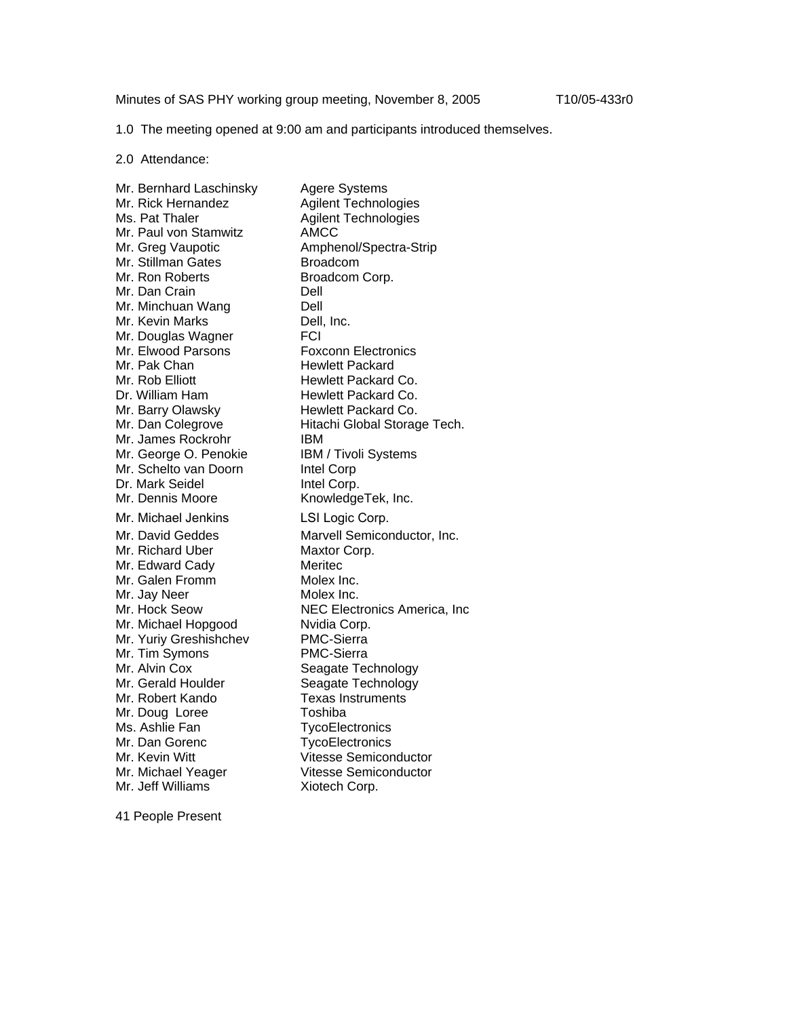Minutes of SAS PHY working group meeting, November 8, 2005 T10/05-433r0

1.0 The meeting opened at 9:00 am and participants introduced themselves.

2.0 Attendance:

Mr. Bernhard Laschinsky Agere Systems Mr. Rick Hernandez Agilent Technologies<br>
Ms. Pat Thaler Agilent Technologies Agilent Technologies<br>AMCC Mr. Paul von Stamwitz Mr. Greg Vaupotic **Amphenol/Spectra-Strip** Mr. Stillman Gates Broadcom<br>Mr. Ron Roberts Broadcom Broadcom Corp. Mr. Dan Crain **Dell** Mr. Minchuan Wang Dell Mr. Kevin Marks Dell, Inc. Mr. Douglas Wagner FCI Mr. Elwood Parsons **Foxconn** Electronics Mr. Pak Chan **Hewlett Packard** Mr. Rob Elliott **Hewlett Packard Co.** Dr. William Ham Hewlett Packard Co. Mr. Barry Olawsky Hewlett Packard Co. Mr. Dan Colegrove Hitachi Global Storage Tech. Mr. James Rockrohr IBM Mr. George O. Penokie IBM / Tivoli Systems Mr. Schelto van Doorn Intel Corp Dr. Mark Seidel **Intel Corp.** Mr. Dennis Moore KnowledgeTek, Inc. Mr. Michael Jenkins LSI Logic Corp. Mr. David Geddes Marvell Semiconductor, Inc. Mr. Richard Uber Maxtor Corp. Mr. Edward Cady Meritec Mr. Galen Fromm Molex Inc. Mr. Jay Neer Molex Inc. Mr. Hock Seow NEC Electronics America, Inc Mr. Michael Hopgood Nvidia Corp. Mr. Yuriy Greshishchev PMC-Sierra Mr. Tim Symons PMC-Sierra Mr. Alvin Cox Seagate Technology Mr. Gerald Houlder Seagate Technology Mr. Robert Kando Texas Instruments Mr. Doug Loree Toshiba Ms. Ashlie Fan TycoElectronics Mr. Dan Gorenc **TycoElectronics** Mr. Kevin Witt Vitesse Semiconductor Mr. Michael Yeager Vitesse Semiconductor Mr. Jeff Williams **Xiotech Corp.** 

41 People Present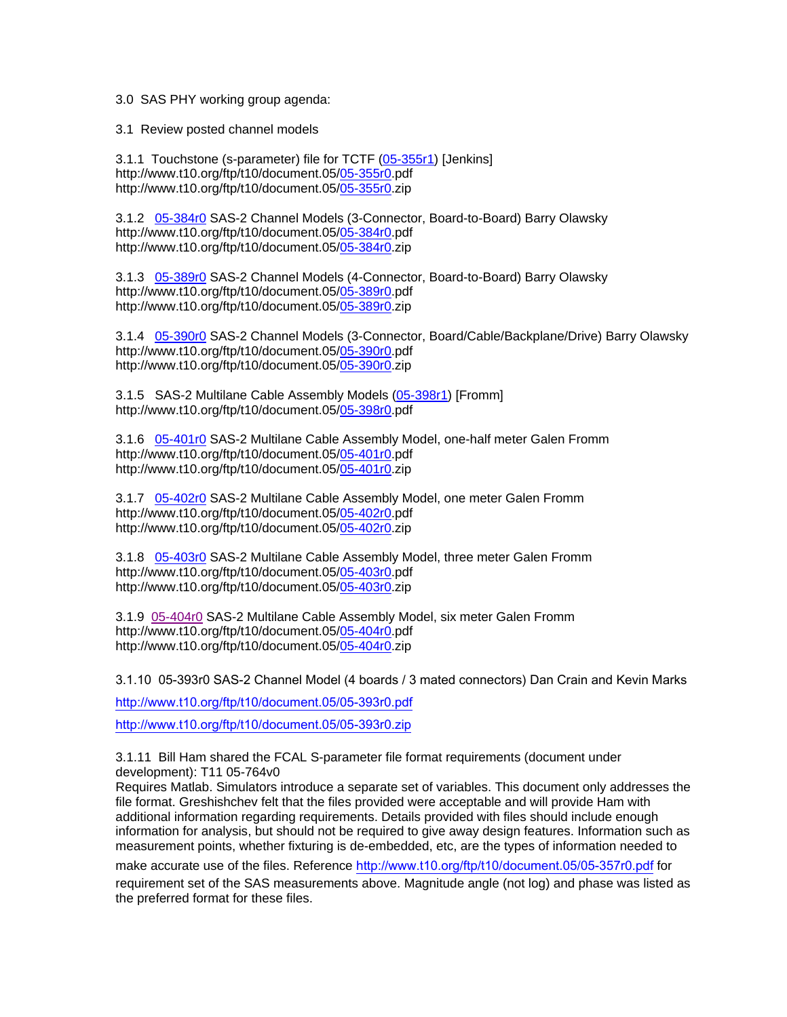## 3.0 SAS PHY working group agenda:

3.1 Review posted channel models

3.1.1 Touchstone (s-parameter) file for TCTF ([05-355r1\)](ftp://ftp.t10.org/t10/document.05/05-355r1.pdf) [Jenkins] http://www.t10.org/ftp/t10/document.05/[05-355r0.](ftp://ftp.t10.org/t10/document.05/05-355r0.pdf)pdf http://www.t10.org/ftp/t10/document.05/[05-355r0.](ftp://ftp.t10.org/t10/document.05/05-355r0.pdf)zip

3.1.2 [05-384r0](ftp://ftp.t10.org/t10/document.05/05-384r0.pdf) SAS-2 Channel Models (3-Connector, Board-to-Board) Barry Olawsky http://www.t10.org/ftp/t10/document.05/[05-384r0.](ftp://ftp.t10.org/t10/document.05/05-384r0.pdf)pdf http://www.t10.org/ftp/t10/document.05/[05-384r0.](ftp://ftp.t10.org/t10/document.05/05-384r0.pdf)zip

3.1.3 [05-389r0](ftp://ftp.t10.org/t10/document.05/05-389r0.pdf) SAS-2 Channel Models (4-Connector, Board-to-Board) Barry Olawsky http://www.t10.org/ftp/t10/document.05/[05-389r0.](ftp://ftp.t10.org/t10/document.05/05-389r0.pdf)pdf http://www.t10.org/ftp/t10/document.05/[05-389r0.](ftp://ftp.t10.org/t10/document.05/05-389r0.pdf)zip

3.1.4 [05-390r0](ftp://ftp.t10.org/t10/document.05/05-390r0.pdf) SAS-2 Channel Models (3-Connector, Board/Cable/Backplane/Drive) Barry Olawsky http://www.t10.org/ftp/t10/document.05/[05-390r0.](ftp://ftp.t10.org/t10/document.05/05-390r0.pdf)pdf http://www.t10.org/ftp/t10/document.05/[05-390r0.](ftp://ftp.t10.org/t10/document.05/05-390r0.pdf)zip

3.1.5 SAS-2 Multilane Cable Assembly Models [\(05-398r1\)](ftp://ftp.t10.org/t10/document.05/05-398r1.pdf) [Fromm] http://www.t10.org/ftp/t10/document.05/[05-398r0.](ftp://ftp.t10.org/t10/document.05/05-398r0.pdf)pdf

3.1.6 [05-401r0](ftp://ftp.t10.org/t10/document.05/05-401r0.pdf) SAS-2 Multilane Cable Assembly Model, one-half meter Galen Fromm http://www.t10.org/ftp/t10/document.05/[05-401r0.](ftp://ftp.t10.org/t10/document.05/05-401r0.pdf)pdf http://www.t10.org/ftp/t10/document.05/[05-401r0.](ftp://ftp.t10.org/t10/document.05/05-401r0.pdf)zip

3.1.7 [05-402r0](ftp://ftp.t10.org/t10/document.05/05-402r0.pdf) SAS-2 Multilane Cable Assembly Model, one meter Galen Fromm http://www.t10.org/ftp/t10/document.05/[05-402r0.](ftp://ftp.t10.org/t10/document.05/05-402r0.pdf)pdf http://www.t10.org/ftp/t10/document.05/[05-402r0.](ftp://ftp.t10.org/t10/document.05/05-402r0.pdf)zip

3.1.8 [05-403r0](ftp://ftp.t10.org/t10/document.05/05-403r0.pdf) SAS-2 Multilane Cable Assembly Model, three meter Galen Fromm http://www.t10.org/ftp/t10/document.05/[05-403r0.](ftp://ftp.t10.org/t10/document.05/05-403r0.pdf)pdf http://www.t10.org/ftp/t10/document.05/[05-403r0.](ftp://ftp.t10.org/t10/document.05/05-403r0.pdf)zip

3.1.9 05-404r0 SAS-2 Multilane Cable Assembly Model, six meter Galen Fromm http://www.t10.org/ftp/t10/document.05/[05-404r0.](ftp://ftp.t10.org/t10/document.05/05-404r0.pdf)pdf http://www.t10.org/ftp/t10/document.05/[05-404r0.](ftp://ftp.t10.org/t10/document.05/05-404r0.pdf)zip

3.1.10 05-393r0 SAS-2 Channel Model (4 boards / 3 mated connectors) Dan Crain and Kevin Marks

<http://www.t10.org/ftp/t10/document.05/05-393r0.pdf> <http://www.t10.org/ftp/t10/document.05/05-393r0.zip>

3.1.11 Bill Ham shared the FCAL S-parameter file format requirements (document under development): T11 05-764v0

Requires Matlab. Simulators introduce a separate set of variables. This document only addresses the file format. Greshishchev felt that the files provided were acceptable and will provide Ham with additional information regarding requirements. Details provided with files should include enough information for analysis, but should not be required to give away design features. Information such as measurement points, whether fixturing is de-embedded, etc, are the types of information needed to

make accurate use of the files. Reference <http://www.t10.org/ftp/t10/document.05/05-357r0.pdf> for

requirement set of the SAS measurements above. Magnitude angle (not log) and phase was listed as the preferred format for these files.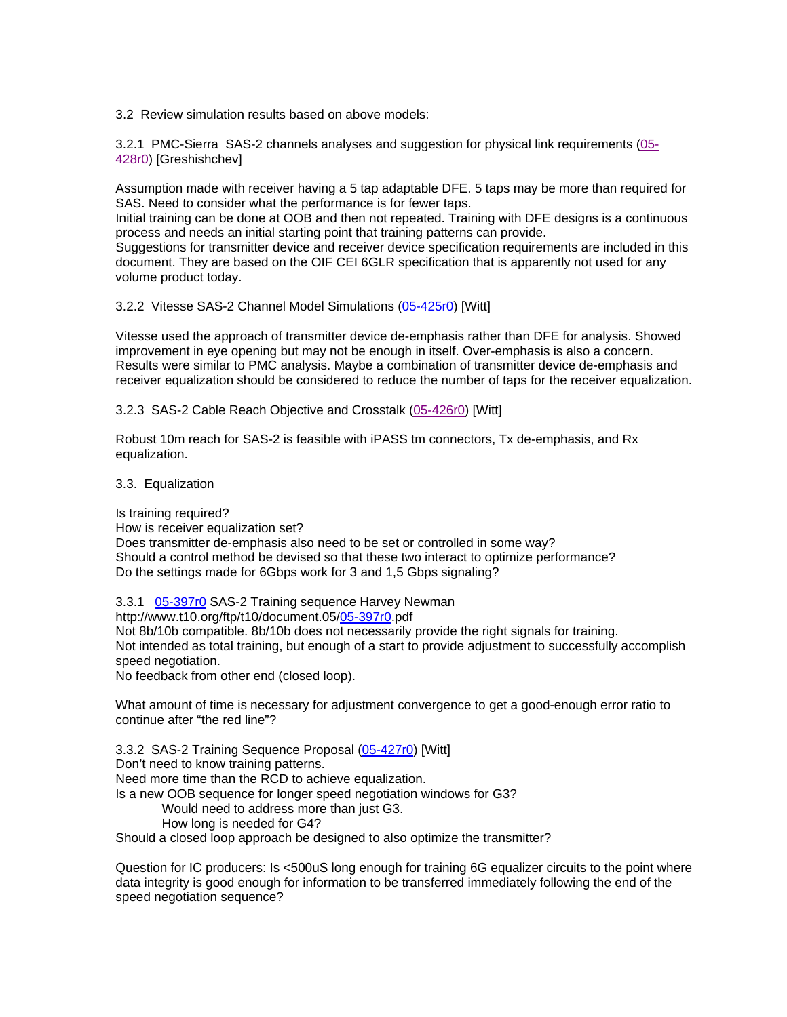3.2 Review simulation results based on above models:

3.2.1 PMC-Sierra SAS-2 channels analyses and suggestion for physical link requirements (05- 428r0) [Greshishchev]

Assumption made with receiver having a 5 tap adaptable DFE. 5 taps may be more than required for SAS. Need to consider what the performance is for fewer taps.

Initial training can be done at OOB and then not repeated. Training with DFE designs is a continuous process and needs an initial starting point that training patterns can provide.

Suggestions for transmitter device and receiver device specification requirements are included in this document. They are based on the OIF CEI 6GLR specification that is apparently not used for any volume product today.

3.2.2 Vitesse SAS-2 Channel Model Simulations ([05-425r0\)](ftp://ftp.t10.org/t10/document.05/05-425r0.pdf) [Witt]

Vitesse used the approach of transmitter device de-emphasis rather than DFE for analysis. Showed improvement in eye opening but may not be enough in itself. Over-emphasis is also a concern. Results were similar to PMC analysis. Maybe a combination of transmitter device de-emphasis and receiver equalization should be considered to reduce the number of taps for the receiver equalization.

3.2.3 SAS-2 Cable Reach Objective and Crosstalk (05-426r0) [Witt]

Robust 10m reach for SAS-2 is feasible with iPASS tm connectors, Tx de-emphasis, and Rx equalization.

3.3. Equalization

Is training required?

How is receiver equalization set?

Does transmitter de-emphasis also need to be set or controlled in some way? Should a control method be devised so that these two interact to optimize performance? Do the settings made for 6Gbps work for 3 and 1,5 Gbps signaling?

3.3.1 [05-397r0](ftp://ftp.t10.org/t10/document.05/05-397r0.pdf) SAS-2 Training sequence Harvey Newman

http://www.t10.org/ftp/t10/document.05/[05-397r0.](ftp://ftp.t10.org/t10/document.05/05-397r0.pdf)pdf

Not 8b/10b compatible. 8b/10b does not necessarily provide the right signals for training. Not intended as total training, but enough of a start to provide adjustment to successfully accomplish speed negotiation.

No feedback from other end (closed loop).

What amount of time is necessary for adjustment convergence to get a good-enough error ratio to continue after "the red line"?

3.3.2 SAS-2 Training Sequence Proposal ([05-427r0\)](ftp://ftp.t10.org/t10/document.05/05-427r0.pdf) [Witt]

Don't need to know training patterns.

Need more time than the RCD to achieve equalization.

Is a new OOB sequence for longer speed negotiation windows for G3?

Would need to address more than just G3.

How long is needed for G4?

Should a closed loop approach be designed to also optimize the transmitter?

Question for IC producers: Is <500uS long enough for training 6G equalizer circuits to the point where data integrity is good enough for information to be transferred immediately following the end of the speed negotiation sequence?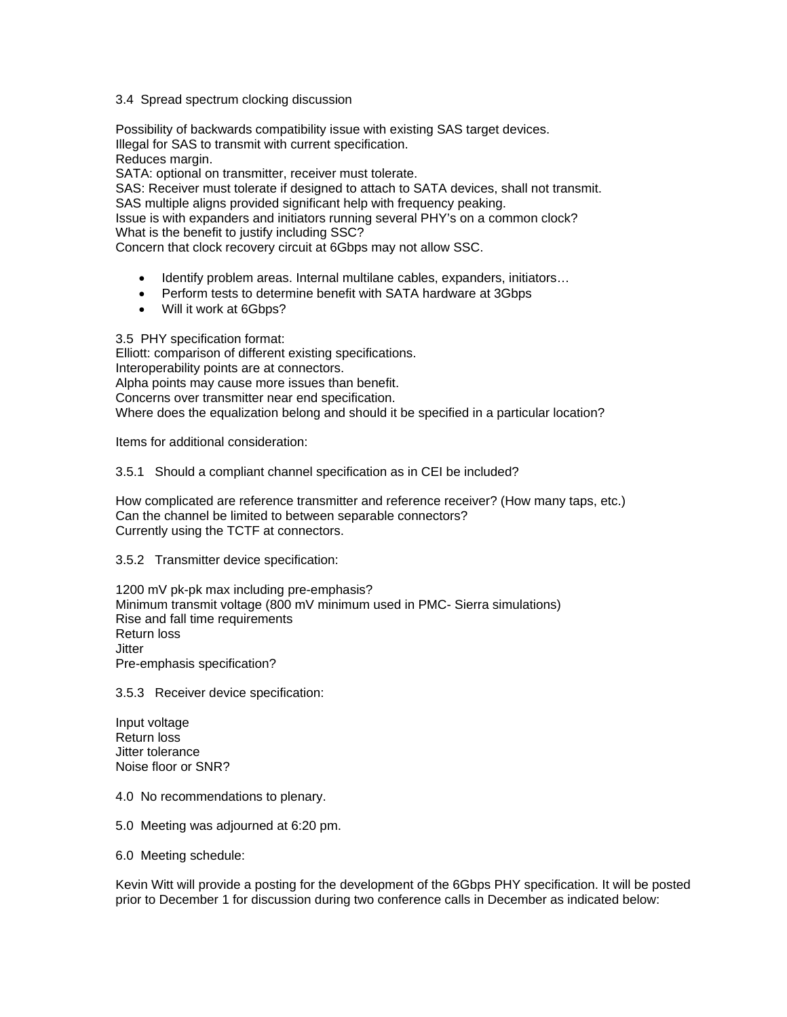## 3.4 Spread spectrum clocking discussion

Possibility of backwards compatibility issue with existing SAS target devices. Illegal for SAS to transmit with current specification. Reduces margin. SATA: optional on transmitter, receiver must tolerate.

SAS: Receiver must tolerate if designed to attach to SATA devices, shall not transmit. SAS multiple aligns provided significant help with frequency peaking. Issue is with expanders and initiators running several PHY's on a common clock? What is the benefit to justify including SSC?

Concern that clock recovery circuit at 6Gbps may not allow SSC.

- Identify problem areas. Internal multilane cables, expanders, initiators...
- Perform tests to determine benefit with SATA hardware at 3Gbps
- Will it work at 6Gbps?

3.5 PHY specification format: Elliott: comparison of different existing specifications. Interoperability points are at connectors. Alpha points may cause more issues than benefit. Concerns over transmitter near end specification. Where does the equalization belong and should it be specified in a particular location?

Items for additional consideration:

3.5.1 Should a compliant channel specification as in CEI be included?

How complicated are reference transmitter and reference receiver? (How many taps, etc.) Can the channel be limited to between separable connectors? Currently using the TCTF at connectors.

3.5.2 Transmitter device specification:

1200 mV pk-pk max including pre-emphasis? Minimum transmit voltage (800 mV minimum used in PMC- Sierra simulations) Rise and fall time requirements Return loss Jitter Pre-emphasis specification?

3.5.3 Receiver device specification:

Input voltage Return loss Jitter tolerance Noise floor or SNR?

- 4.0 No recommendations to plenary.
- 5.0 Meeting was adjourned at 6:20 pm.
- 6.0 Meeting schedule:

Kevin Witt will provide a posting for the development of the 6Gbps PHY specification. It will be posted prior to December 1 for discussion during two conference calls in December as indicated below: